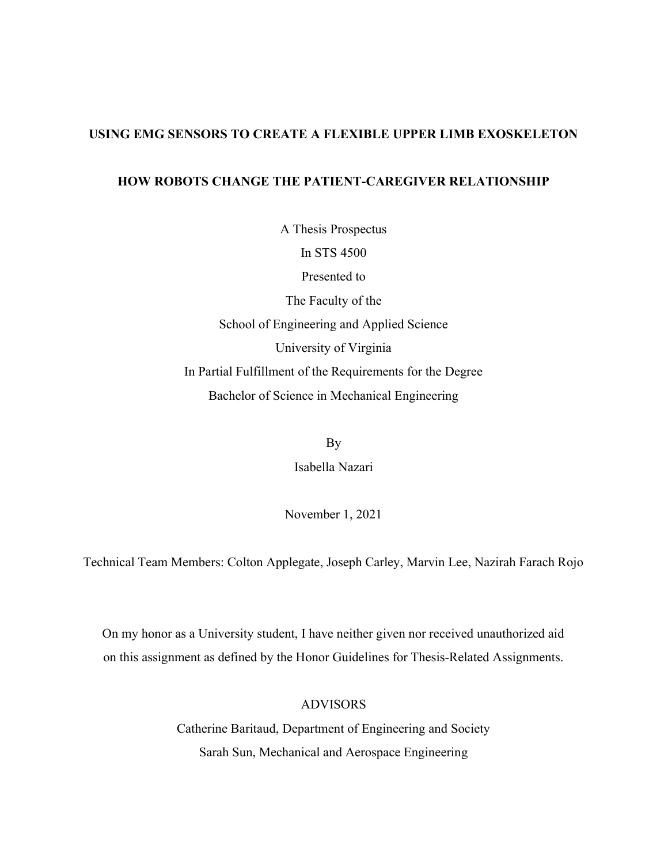# USING EMG SENSORS TO CREATE A FLEXIBLE UPPER LIMB EXOSKELETON

# HOW ROBOTS CHANGE THE PATIENT-CAREGIVER RELATIONSHIP

A Thesis Prospectus In STS 4500 Presented to The Faculty of the School of Engineering and Applied Science University of Virginia In Partial Fulfillment of the Requirements for the Degree Bachelor of Science in Mechanical Engineering

> By Isabella Nazari

November 1, 2021

Technical Team Members: Colton Applegate, Joseph Carley, Marvin Lee, Nazirah Farach Rojo

On my honor as a University student, I have neither given nor received unauthorized aid on this assignment as defined by the Honor Guidelines for Thesis-Related Assignments.

# ADVISORS

Catherine Baritaud, Department of Engineering and Society Sarah Sun, Mechanical and Aerospace Engineering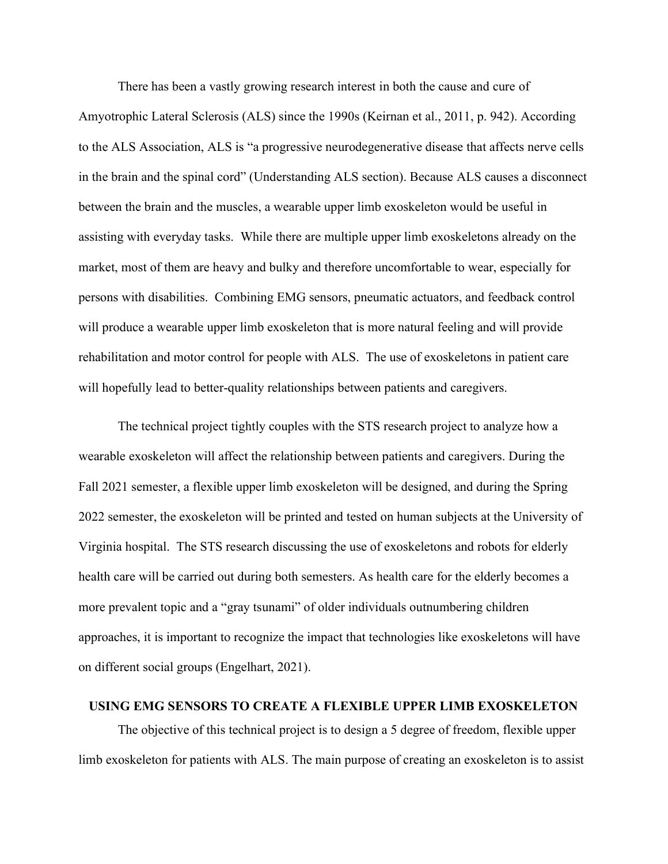There has been a vastly growing research interest in both the cause and cure of Amyotrophic Lateral Sclerosis (ALS) since the 1990s (Keirnan et al., 2011, p. 942). According to the ALS Association, ALS is "a progressive neurodegenerative disease that affects nerve cells in the brain and the spinal cord" (Understanding ALS section). Because ALS causes a disconnect between the brain and the muscles, a wearable upper limb exoskeleton would be useful in assisting with everyday tasks. While there are multiple upper limb exoskeletons already on the market, most of them are heavy and bulky and therefore uncomfortable to wear, especially for persons with disabilities. Combining EMG sensors, pneumatic actuators, and feedback control will produce a wearable upper limb exoskeleton that is more natural feeling and will provide rehabilitation and motor control for people with ALS. The use of exoskeletons in patient care will hopefully lead to better-quality relationships between patients and caregivers.

The technical project tightly couples with the STS research project to analyze how a wearable exoskeleton will affect the relationship between patients and caregivers. During the Fall 2021 semester, a flexible upper limb exoskeleton will be designed, and during the Spring 2022 semester, the exoskeleton will be printed and tested on human subjects at the University of Virginia hospital. The STS research discussing the use of exoskeletons and robots for elderly health care will be carried out during both semesters. As health care for the elderly becomes a more prevalent topic and a "gray tsunami" of older individuals outnumbering children approaches, it is important to recognize the impact that technologies like exoskeletons will have on different social groups (Engelhart, 2021).

## USING EMG SENSORS TO CREATE A FLEXIBLE UPPER LIMB EXOSKELETON

The objective of this technical project is to design a 5 degree of freedom, flexible upper limb exoskeleton for patients with ALS. The main purpose of creating an exoskeleton is to assist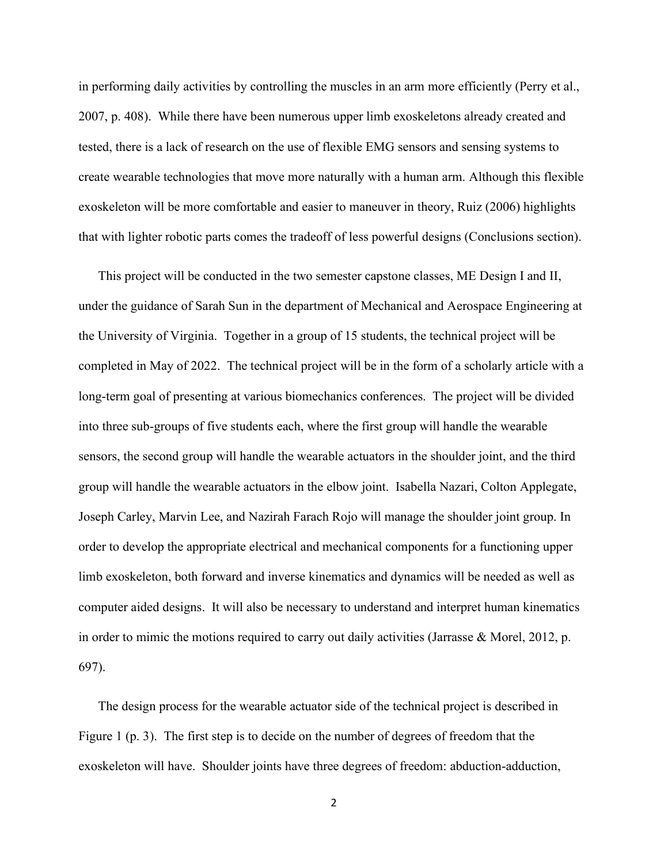in performing daily activities by controlling the muscles in an arm more efficiently (Perry et al., 2007, p. 408). While there have been numerous upper limb exoskeletons already created and tested, there is a lack of research on the use of flexible EMG sensors and sensing systems to create wearable technologies that move more naturally with a human arm. Although this flexible exoskeleton will be more comfortable and easier to maneuver in theory, Ruiz (2006) highlights that with lighter robotic parts comes the tradeoff of less powerful designs (Conclusions section).

This project will be conducted in the two semester capstone classes, ME Design I and II, under the guidance of Sarah Sun in the department of Mechanical and Aerospace Engineering at the University of Virginia. Together in a group of 15 students, the technical project will be completed in May of 2022. The technical project will be in the form of a scholarly article with a long-term goal of presenting at various biomechanics conferences. The project will be divided into three sub-groups of five students each, where the first group will handle the wearable sensors, the second group will handle the wearable actuators in the shoulder joint, and the third group will handle the wearable actuators in the elbow joint. Isabella Nazari, Colton Applegate, Joseph Carley, Marvin Lee, and Nazirah Farach Rojo will manage the shoulder joint group. In order to develop the appropriate electrical and mechanical components for a functioning upper limb exoskeleton, both forward and inverse kinematics and dynamics will be needed as well as computer aided designs. It will also be necessary to understand and interpret human kinematics in order to mimic the motions required to carry out daily activities (Jarrasse & Morel, 2012, p. 697).

The design process for the wearable actuator side of the technical project is described in Figure 1 (p. 3). The first step is to decide on the number of degrees of freedom that the exoskeleton will have. Shoulder joints have three degrees of freedom: abduction-adduction,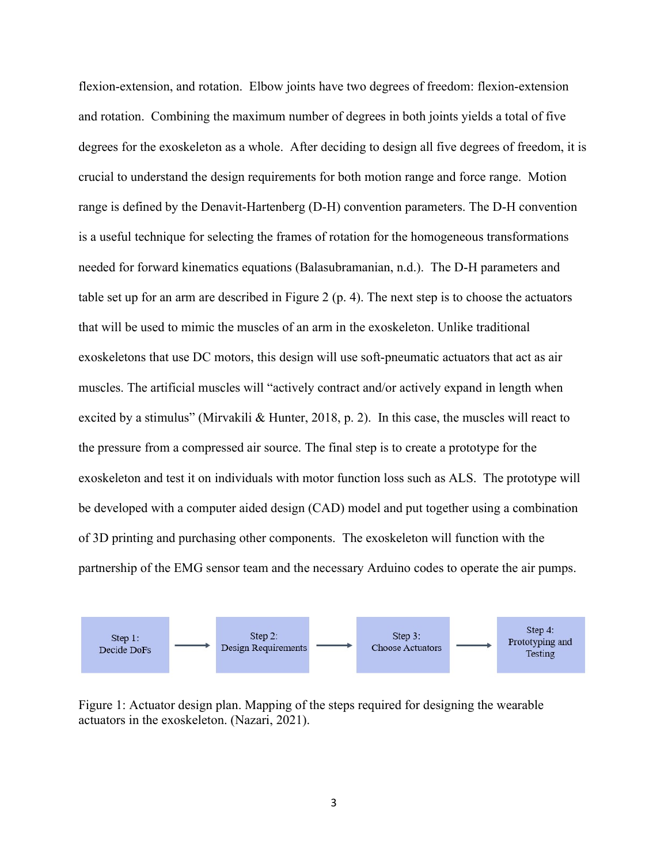flexion-extension, and rotation. Elbow joints have two degrees of freedom: flexion-extension and rotation. Combining the maximum number of degrees in both joints yields a total of five degrees for the exoskeleton as a whole. After deciding to design all five degrees of freedom, it is crucial to understand the design requirements for both motion range and force range. Motion range is defined by the Denavit-Hartenberg (D-H) convention parameters. The D-H convention is a useful technique for selecting the frames of rotation for the homogeneous transformations needed for forward kinematics equations (Balasubramanian, n.d.). The D-H parameters and table set up for an arm are described in Figure 2 (p. 4). The next step is to choose the actuators that will be used to mimic the muscles of an arm in the exoskeleton. Unlike traditional exoskeletons that use DC motors, this design will use soft-pneumatic actuators that act as air muscles. The artificial muscles will "actively contract and/or actively expand in length when excited by a stimulus" (Mirvakili & Hunter, 2018, p. 2). In this case, the muscles will react to the pressure from a compressed air source. The final step is to create a prototype for the exoskeleton and test it on individuals with motor function loss such as ALS. The prototype will be developed with a computer aided design (CAD) model and put together using a combination of 3D printing and purchasing other components. The exoskeleton will function with the partnership of the EMG sensor team and the necessary Arduino codes to operate the air pumps.



Figure 1: Actuator design plan. Mapping of the steps required for designing the wearable actuators in the exoskeleton. (Nazari, 2021).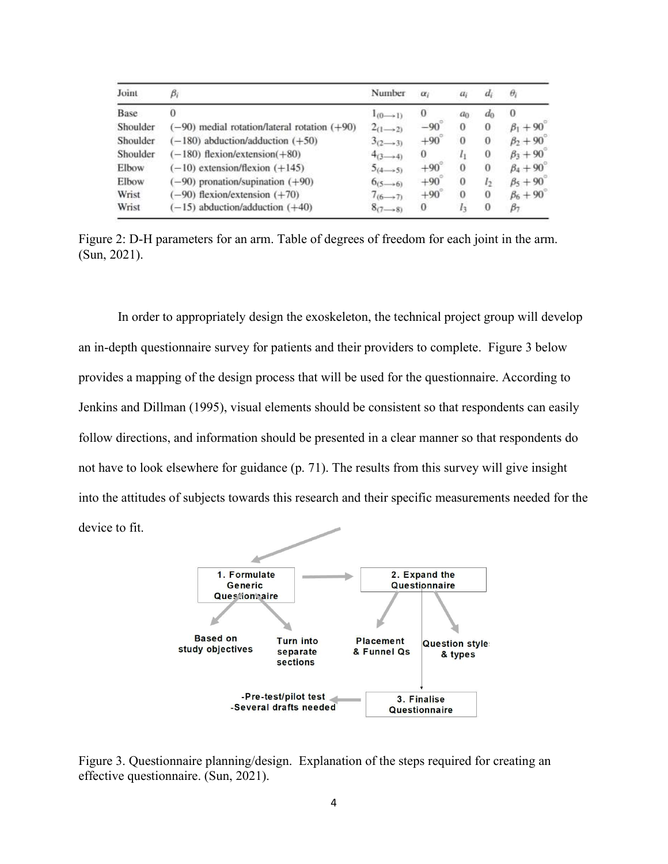| Joint    | $\beta_i$                                        | Number                  | $\alpha_i$ | $a_i$          | $d_i$            | $\theta_i$           |
|----------|--------------------------------------------------|-------------------------|------------|----------------|------------------|----------------------|
| Base     | 0                                                | $1_{(0 \rightarrow 1)}$ | $\bf{0}$   | a <sub>0</sub> | $d_0$            | $\bf{0}$             |
| Shoulder | $(-90)$ medial rotation/lateral rotation $(+90)$ | $2_{(1\rightarrow 2)}$  | $-90$      | $\mathbf{0}$   | $\bf{0}$         | $\beta_1 + 90^\circ$ |
| Shoulder | $(-180)$ abduction/adduction $(+50)$             | $3_{(2\rightarrow 3)}$  | $+90$      | $\Omega$       | $\boldsymbol{0}$ | $\beta_2 + 90^\circ$ |
| Shoulder | $(-180)$ flexion/extension(+80)                  | $4_{(3\rightarrow 4)}$  | $\bf{0}$   | $l_1$          | $\boldsymbol{0}$ | $\beta_3 + 90$       |
| Elbow    | $(-10)$ extension/flexion $(+145)$               | $5(4 \rightarrow 5)$    | $+90$      | $\bf{0}$       | $\bf{0}$         | $\beta_4 + 90^\circ$ |
| Elbow    | $(-90)$ pronation/supination $(+90)$             | $6(5-6)$                | $+90$      | $\Omega$       | l <sub>2</sub>   | $\beta_5 + 90$       |
| Wrist    | $(-90)$ flexion/extension $(+70)$                | $7_{(6\rightarrow7)}$   | $+90$      | $\theta$       | $\bf{0}$         | $\beta_6 + 90$       |
| Wrist    | $(-15)$ abduction/adduction $(+40)$              | $8(7-8)$                | $\bf{0}$   | $l_3$          | $\bf{0}$         | $\beta$ 7            |

Figure 2: D-H parameters for an arm. Table of degrees of freedom for each joint in the arm. (Sun, 2021).

In order to appropriately design the exoskeleton, the technical project group will develop an in-depth questionnaire survey for patients and their providers to complete. Figure 3 below provides a mapping of the design process that will be used for the questionnaire. According to Jenkins and Dillman (1995), visual elements should be consistent so that respondents can easily follow directions, and information should be presented in a clear manner so that respondents do not have to look elsewhere for guidance (p. 71). The results from this survey will give insight into the attitudes of subjects towards this research and their specific measurements needed for the device to fit.



Figure 3. Questionnaire planning/design. Explanation of the steps required for creating an effective questionnaire. (Sun, 2021).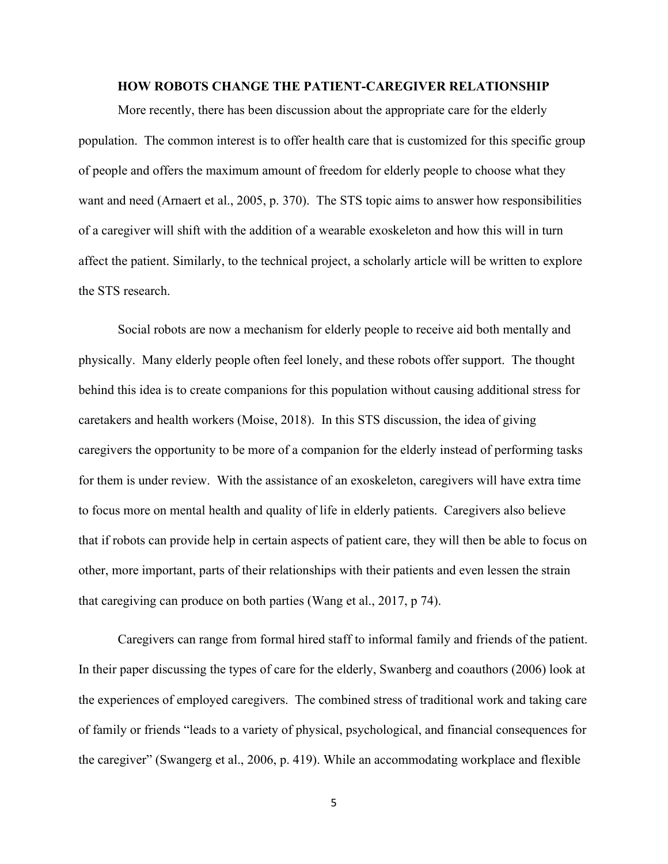## HOW ROBOTS CHANGE THE PATIENT-CAREGIVER RELATIONSHIP

More recently, there has been discussion about the appropriate care for the elderly population. The common interest is to offer health care that is customized for this specific group of people and offers the maximum amount of freedom for elderly people to choose what they want and need (Arnaert et al., 2005, p. 370). The STS topic aims to answer how responsibilities of a caregiver will shift with the addition of a wearable exoskeleton and how this will in turn affect the patient. Similarly, to the technical project, a scholarly article will be written to explore the STS research.

 Social robots are now a mechanism for elderly people to receive aid both mentally and physically. Many elderly people often feel lonely, and these robots offer support. The thought behind this idea is to create companions for this population without causing additional stress for caretakers and health workers (Moise, 2018). In this STS discussion, the idea of giving caregivers the opportunity to be more of a companion for the elderly instead of performing tasks for them is under review. With the assistance of an exoskeleton, caregivers will have extra time to focus more on mental health and quality of life in elderly patients. Caregivers also believe that if robots can provide help in certain aspects of patient care, they will then be able to focus on other, more important, parts of their relationships with their patients and even lessen the strain that caregiving can produce on both parties (Wang et al., 2017, p 74).

 Caregivers can range from formal hired staff to informal family and friends of the patient. In their paper discussing the types of care for the elderly, Swanberg and coauthors (2006) look at the experiences of employed caregivers. The combined stress of traditional work and taking care of family or friends "leads to a variety of physical, psychological, and financial consequences for the caregiver" (Swangerg et al., 2006, p. 419). While an accommodating workplace and flexible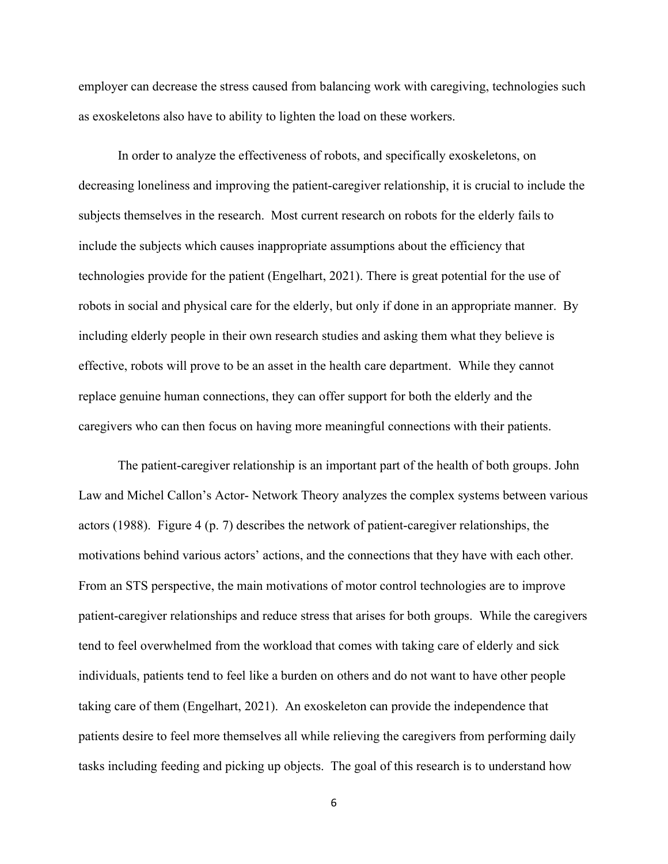employer can decrease the stress caused from balancing work with caregiving, technologies such as exoskeletons also have to ability to lighten the load on these workers.

In order to analyze the effectiveness of robots, and specifically exoskeletons, on decreasing loneliness and improving the patient-caregiver relationship, it is crucial to include the subjects themselves in the research. Most current research on robots for the elderly fails to include the subjects which causes inappropriate assumptions about the efficiency that technologies provide for the patient (Engelhart, 2021). There is great potential for the use of robots in social and physical care for the elderly, but only if done in an appropriate manner. By including elderly people in their own research studies and asking them what they believe is effective, robots will prove to be an asset in the health care department. While they cannot replace genuine human connections, they can offer support for both the elderly and the caregivers who can then focus on having more meaningful connections with their patients.

The patient-caregiver relationship is an important part of the health of both groups. John Law and Michel Callon's Actor- Network Theory analyzes the complex systems between various actors (1988). Figure 4 (p. 7) describes the network of patient-caregiver relationships, the motivations behind various actors' actions, and the connections that they have with each other. From an STS perspective, the main motivations of motor control technologies are to improve patient-caregiver relationships and reduce stress that arises for both groups. While the caregivers tend to feel overwhelmed from the workload that comes with taking care of elderly and sick individuals, patients tend to feel like a burden on others and do not want to have other people taking care of them (Engelhart, 2021). An exoskeleton can provide the independence that patients desire to feel more themselves all while relieving the caregivers from performing daily tasks including feeding and picking up objects. The goal of this research is to understand how

6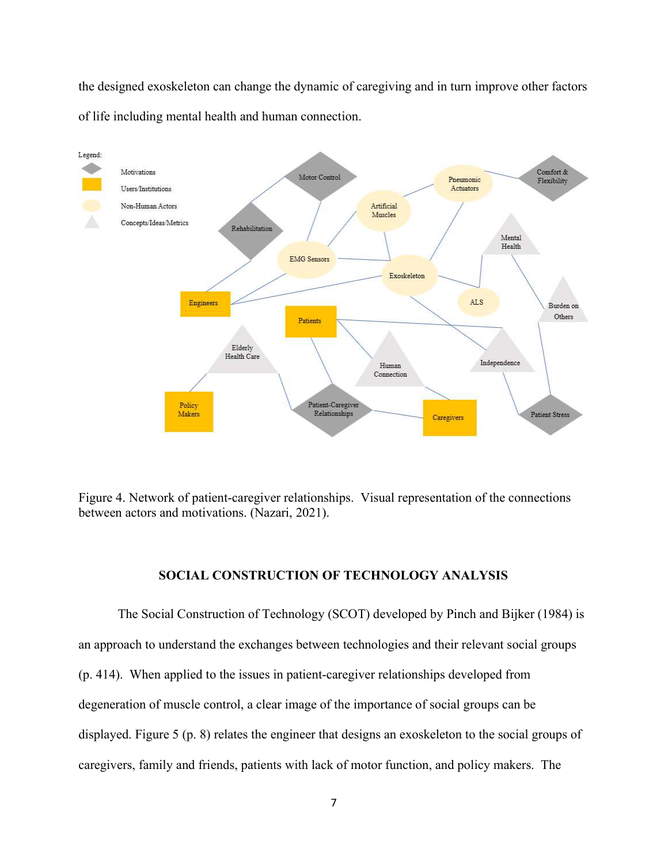the designed exoskeleton can change the dynamic of caregiving and in turn improve other factors of life including mental health and human connection.



Figure 4. Network of patient-caregiver relationships. Visual representation of the connections between actors and motivations. (Nazari, 2021).

## SOCIAL CONSTRUCTION OF TECHNOLOGY ANALYSIS

The Social Construction of Technology (SCOT) developed by Pinch and Bijker (1984) is an approach to understand the exchanges between technologies and their relevant social groups (p. 414). When applied to the issues in patient-caregiver relationships developed from degeneration of muscle control, a clear image of the importance of social groups can be displayed. Figure 5 (p. 8) relates the engineer that designs an exoskeleton to the social groups of caregivers, family and friends, patients with lack of motor function, and policy makers. The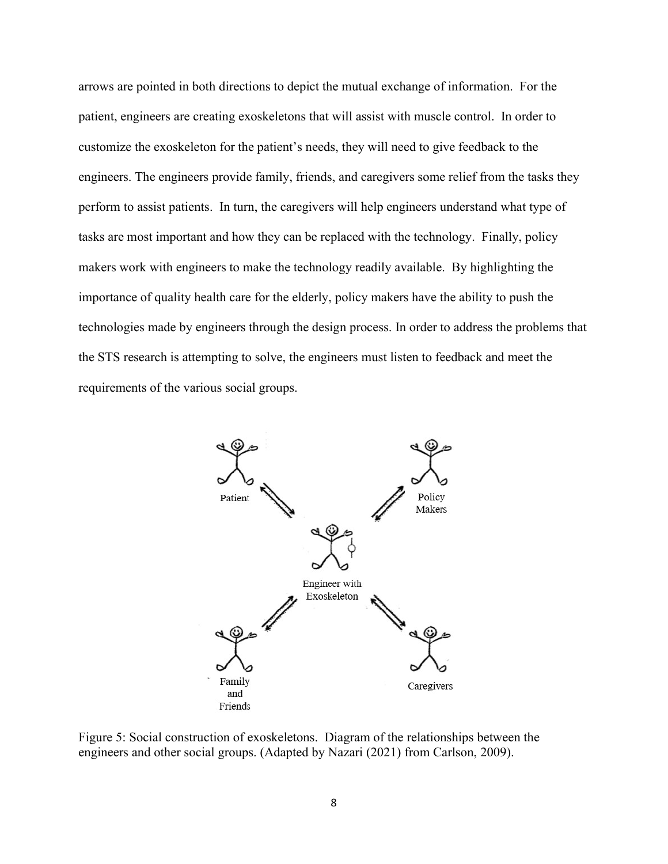arrows are pointed in both directions to depict the mutual exchange of information. For the patient, engineers are creating exoskeletons that will assist with muscle control. In order to customize the exoskeleton for the patient's needs, they will need to give feedback to the engineers. The engineers provide family, friends, and caregivers some relief from the tasks they perform to assist patients. In turn, the caregivers will help engineers understand what type of tasks are most important and how they can be replaced with the technology. Finally, policy makers work with engineers to make the technology readily available. By highlighting the importance of quality health care for the elderly, policy makers have the ability to push the technologies made by engineers through the design process. In order to address the problems that the STS research is attempting to solve, the engineers must listen to feedback and meet the requirements of the various social groups.



Figure 5: Social construction of exoskeletons. Diagram of the relationships between the engineers and other social groups. (Adapted by Nazari (2021) from Carlson, 2009).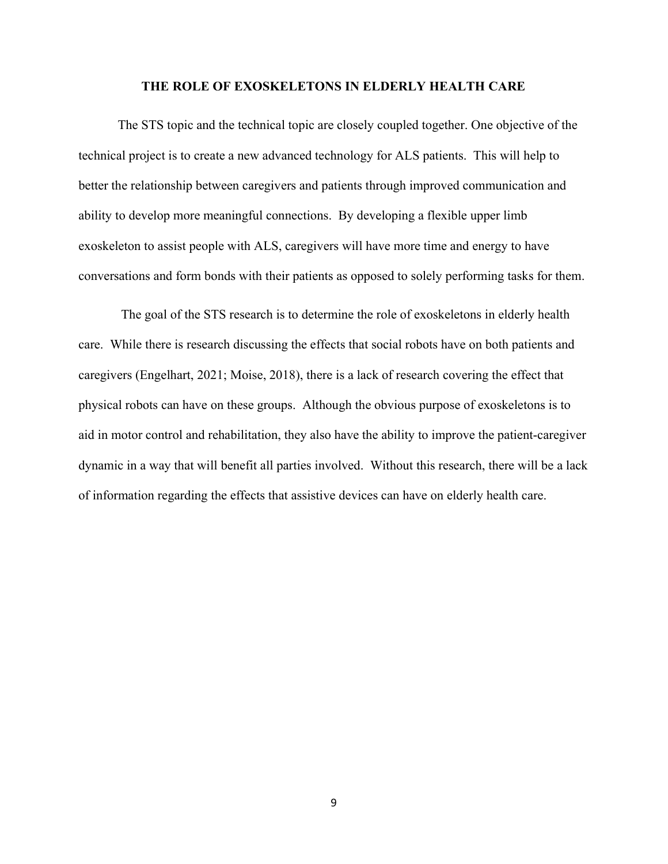### THE ROLE OF EXOSKELETONS IN ELDERLY HEALTH CARE

The STS topic and the technical topic are closely coupled together. One objective of the technical project is to create a new advanced technology for ALS patients. This will help to better the relationship between caregivers and patients through improved communication and ability to develop more meaningful connections. By developing a flexible upper limb exoskeleton to assist people with ALS, caregivers will have more time and energy to have conversations and form bonds with their patients as opposed to solely performing tasks for them.

 The goal of the STS research is to determine the role of exoskeletons in elderly health care. While there is research discussing the effects that social robots have on both patients and caregivers (Engelhart, 2021; Moise, 2018), there is a lack of research covering the effect that physical robots can have on these groups. Although the obvious purpose of exoskeletons is to aid in motor control and rehabilitation, they also have the ability to improve the patient-caregiver dynamic in a way that will benefit all parties involved. Without this research, there will be a lack of information regarding the effects that assistive devices can have on elderly health care.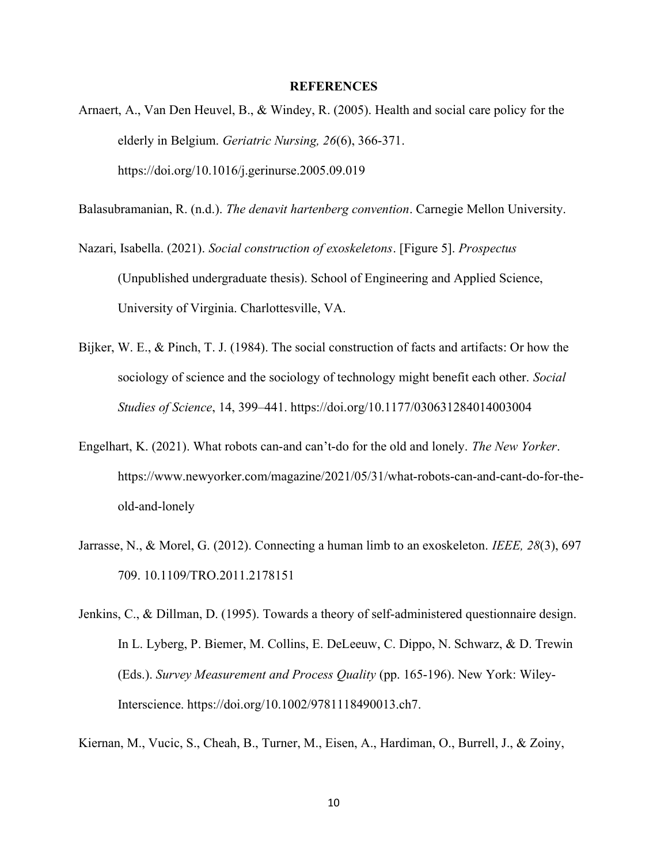### **REFERENCES**

Arnaert, A., Van Den Heuvel, B., & Windey, R. (2005). Health and social care policy for the elderly in Belgium. Geriatric Nursing, 26(6), 366-371. https://doi.org/10.1016/j.gerinurse.2005.09.019

Balasubramanian, R. (n.d.). The denavit hartenberg convention. Carnegie Mellon University.

Nazari, Isabella. (2021). Social construction of exoskeletons. [Figure 5]. Prospectus (Unpublished undergraduate thesis). School of Engineering and Applied Science, University of Virginia. Charlottesville, VA.

- Bijker, W. E., & Pinch, T. J. (1984). The social construction of facts and artifacts: Or how the sociology of science and the sociology of technology might benefit each other. Social Studies of Science, 14, 399–441. https://doi.org/10.1177/030631284014003004
- Engelhart, K. (2021). What robots can-and can't-do for the old and lonely. The New Yorker. https://www.newyorker.com/magazine/2021/05/31/what-robots-can-and-cant-do-for-theold-and-lonely
- Jarrasse, N., & Morel, G. (2012). Connecting a human limb to an exoskeleton. IEEE, 28(3), 697 709. 10.1109/TRO.2011.2178151
- Jenkins, C., & Dillman, D. (1995). Towards a theory of self-administered questionnaire design. In L. Lyberg, P. Biemer, M. Collins, E. DeLeeuw, C. Dippo, N. Schwarz, & D. Trewin (Eds.). Survey Measurement and Process Quality (pp. 165-196). New York: Wiley-Interscience. https://doi.org/10.1002/9781118490013.ch7.

Kiernan, M., Vucic, S., Cheah, B., Turner, M., Eisen, A., Hardiman, O., Burrell, J., & Zoiny,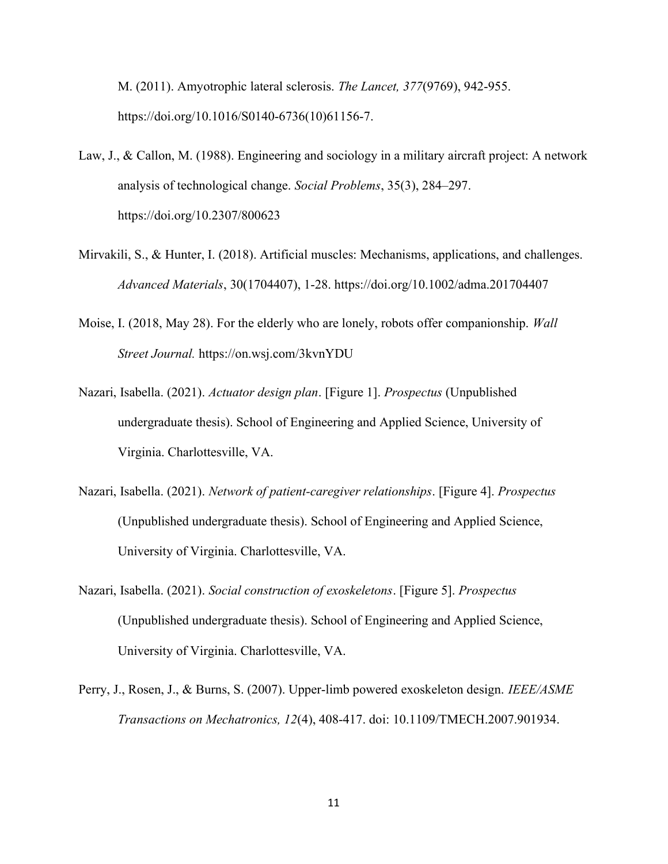M. (2011). Amyotrophic lateral sclerosis. The Lancet, 377(9769), 942-955. https://doi.org/10.1016/S0140-6736(10)61156-7.

- Law, J., & Callon, M. (1988). Engineering and sociology in a military aircraft project: A network analysis of technological change. Social Problems, 35(3), 284–297. https://doi.org/10.2307/800623
- Mirvakili, S., & Hunter, I. (2018). Artificial muscles: Mechanisms, applications, and challenges. Advanced Materials, 30(1704407), 1-28. https://doi.org/10.1002/adma.201704407
- Moise, I. (2018, May 28). For the elderly who are lonely, robots offer companionship. Wall Street Journal. https://on.wsj.com/3kvnYDU
- Nazari, Isabella. (2021). Actuator design plan. [Figure 1]. Prospectus (Unpublished undergraduate thesis). School of Engineering and Applied Science, University of Virginia. Charlottesville, VA.
- Nazari, Isabella. (2021). Network of patient-caregiver relationships. [Figure 4]. Prospectus (Unpublished undergraduate thesis). School of Engineering and Applied Science, University of Virginia. Charlottesville, VA.
- Nazari, Isabella. (2021). Social construction of exoskeletons. [Figure 5]. Prospectus (Unpublished undergraduate thesis). School of Engineering and Applied Science, University of Virginia. Charlottesville, VA.
- Perry, J., Rosen, J., & Burns, S. (2007). Upper-limb powered exoskeleton design. *IEEE/ASME* Transactions on Mechatronics, 12(4), 408-417. doi: 10.1109/TMECH.2007.901934.